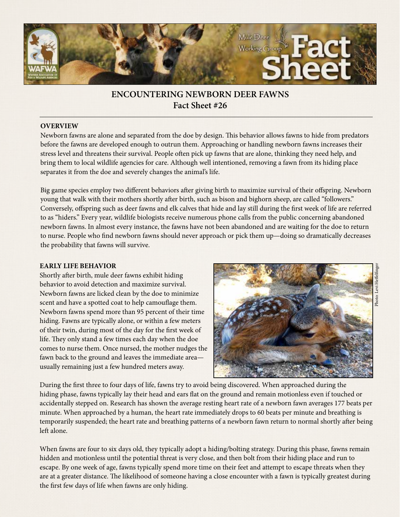

# **ENCOUNTERING NEWBORN DEER FAWNS Fact Sheet #26**

## **OVERVIEW**

Newborn fawns are alone and separated from the doe by design. This behavior allows fawns to hide from predators before the fawns are developed enough to outrun them. Approaching or handling newborn fawns increases their stress level and threatens their survival. People often pick up fawns that are alone, thinking they need help, and bring them to local wildlife agencies for care. Although well intentioned, removing a fawn from its hiding place separates it from the doe and severely changes the animal's life.

Big game species employ two different behaviors after giving birth to maximize survival of their offspring. Newborn young that walk with their mothers shortly after birth, such as bison and bighorn sheep, are called "followers." Conversely, offspring such as deer fawns and elk calves that hide and lay still during the first week of life are referred to as "hiders." Every year, wildlife biologists receive numerous phone calls from the public concerning abandoned newborn fawns. In almost every instance, the fawns have not been abandoned and are waiting for the doe to return to nurse. People who find newborn fawns should never approach or pick them up—doing so dramatically decreases the probability that fawns will survive.

#### **EARLY LIFE BEHAVIOR**

Shortly after birth, mule deer fawns exhibit hiding behavior to avoid detection and maximize survival. Newborn fawns are licked clean by the doe to minimize scent and have a spotted coat to help camouflage them. Newborn fawns spend more than 95 percent of their time hiding. Fawns are typically alone, or within a few meters of their twin, during most of the day for the first week of life. They only stand a few times each day when the doe comes to nurse them. Once nursed, the mother nudges the fawn back to the ground and leaves the immediate area usually remaining just a few hundred meters away.



During the first three to four days of life, fawns try to avoid being discovered. When approached during the hiding phase, fawns typically lay their head and ears flat on the ground and remain motionless even if touched or accidentally stepped on. Research has shown the average resting heart rate of a newborn fawn averages 177 beats per minute. When approached by a human, the heart rate immediately drops to 60 beats per minute and breathing is temporarily suspended; the heart rate and breathing patterns of a newborn fawn return to normal shortly after being left alone.

When fawns are four to six days old, they typically adopt a hiding/bolting strategy. During this phase, fawns remain hidden and motionless until the potential threat is very close, and then bolt from their hiding place and run to escape. By one week of age, fawns typically spend more time on their feet and attempt to escape threats when they are at a greater distance. The likelihood of someone having a close encounter with a fawn is typically greatest during the first few days of life when fawns are only hiding.